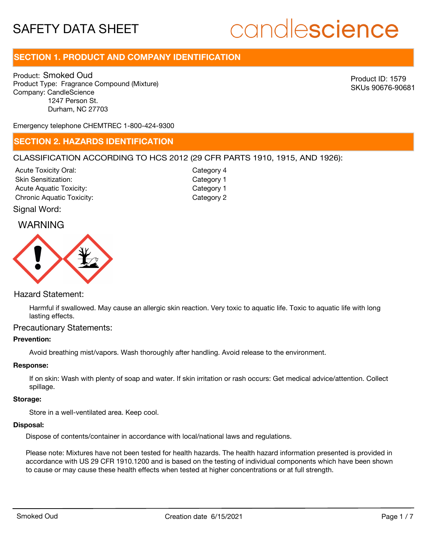# **SECTION 1. PRODUCT AND COMPANY IDENTIFICATION**

Product: Smoked Oud Product Type: Fragrance Compound (Mixture) Company: CandleScience 1247 Person St. Durham, NC 27703

Product ID: 1579 SKUs 90676-90681

Emergency telephone CHEMTREC 1-800-424-9300

### **SECTION 2. HAZARDS IDENTIFICATION**

#### CLASSIFICATION ACCORDING TO HCS 2012 (29 CFR PARTS 1910, 1915, AND 1926):

Acute Toxicity Oral: Skin Sensitization: Acute Aquatic Toxicity: Category 1 Chronic Aquatic Toxicity: Chronic Aquatic Toxicity:

Category 4 Category 1

#### Signal Word:

## WARNING



#### Hazard Statement:

Harmful if swallowed. May cause an allergic skin reaction. Very toxic to aquatic life. Toxic to aquatic life with long lasting effects.

#### Precautionary Statements:

#### **Prevention:**

Avoid breathing mist/vapors. Wash thoroughly after handling. Avoid release to the environment.

#### **Response:**

If on skin: Wash with plenty of soap and water. If skin irritation or rash occurs: Get medical advice/attention. Collect spillage.

#### **Storage:**

Store in a well-ventilated area. Keep cool.

#### **Disposal:**

Dispose of contents/container in accordance with local/national laws and regulations.

Please note: Mixtures have not been tested for health hazards. The health hazard information presented is provided in accordance with US 29 CFR 1910.1200 and is based on the testing of individual components which have been shown to cause or may cause these health effects when tested at higher concentrations or at full strength.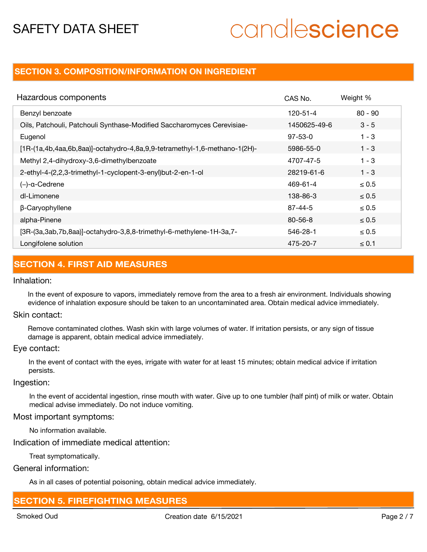# **SECTION 3. COMPOSITION/INFORMATION ON INGREDIENT**

| Hazardous components                                                        | CAS No.       | Weight %   |
|-----------------------------------------------------------------------------|---------------|------------|
| Benzyl benzoate                                                             | 120-51-4      | $80 - 90$  |
| Oils, Patchouli, Patchouli Synthase-Modified Saccharomyces Cerevisiae-      | 1450625-49-6  | $3 - 5$    |
| Eugenol                                                                     | $97 - 53 - 0$ | $1 - 3$    |
| $[1R-(1a,4b,4aa,6b,8aa)]-octahydro-4,8a,9,9-tetramethyl-1,6-methano-1(2H)-$ | 5986-55-0     | $1 - 3$    |
| Methyl 2,4-dihydroxy-3,6-dimethylbenzoate                                   | 4707-47-5     | $1 - 3$    |
| 2-ethyl-4-(2,2,3-trimethyl-1-cyclopent-3-enyl)but-2-en-1-ol                 | 28219-61-6    | $1 - 3$    |
| $(-)$ -a-Cedrene                                                            | 469-61-4      | $\leq 0.5$ |
| dl-Limonene                                                                 | 138-86-3      | $\leq 0.5$ |
| β-Caryophyllene                                                             | $87 - 44 - 5$ | $\leq 0.5$ |
| alpha-Pinene                                                                | $80 - 56 - 8$ | $\leq 0.5$ |
| [3R-(3a,3ab,7b,8aa)]-octahydro-3,8,8-trimethyl-6-methylene-1H-3a,7-         | 546-28-1      | $\leq 0.5$ |
| Longifolene solution                                                        | 475-20-7      | $\leq 0.1$ |

# **SECTION 4. FIRST AID MEASURES**

#### Inhalation:

In the event of exposure to vapors, immediately remove from the area to a fresh air environment. Individuals showing evidence of inhalation exposure should be taken to an uncontaminated area. Obtain medical advice immediately.

#### Skin contact:

Remove contaminated clothes. Wash skin with large volumes of water. If irritation persists, or any sign of tissue damage is apparent, obtain medical advice immediately.

#### Eye contact:

In the event of contact with the eyes, irrigate with water for at least 15 minutes; obtain medical advice if irritation persists.

#### Ingestion:

In the event of accidental ingestion, rinse mouth with water. Give up to one tumbler (half pint) of milk or water. Obtain medical advise immediately. Do not induce vomiting.

#### Most important symptoms:

No information available.

#### Indication of immediate medical attention:

Treat symptomatically.

General information:

As in all cases of potential poisoning, obtain medical advice immediately.

## **SECTION 5. FIREFIGHTING MEASURES**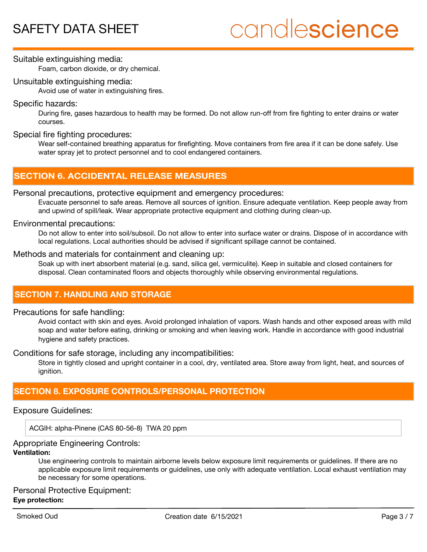#### Suitable extinguishing media:

Foam, carbon dioxide, or dry chemical.

#### Unsuitable extinguishing media:

Avoid use of water in extinguishing fires.

#### Specific hazards:

During fire, gases hazardous to health may be formed. Do not allow run-off from fire fighting to enter drains or water courses.

#### Special fire fighting procedures:

Wear self-contained breathing apparatus for firefighting. Move containers from fire area if it can be done safely. Use water spray jet to protect personnel and to cool endangered containers.

# **SECTION 6. ACCIDENTAL RELEASE MEASURES**

#### Personal precautions, protective equipment and emergency procedures:

Evacuate personnel to safe areas. Remove all sources of ignition. Ensure adequate ventilation. Keep people away from and upwind of spill/leak. Wear appropriate protective equipment and clothing during clean-up.

#### Environmental precautions:

Do not allow to enter into soil/subsoil. Do not allow to enter into surface water or drains. Dispose of in accordance with local regulations. Local authorities should be advised if significant spillage cannot be contained.

#### Methods and materials for containment and cleaning up:

Soak up with inert absorbent material (e.g. sand, silica gel, vermiculite). Keep in suitable and closed containers for disposal. Clean contaminated floors and objects thoroughly while observing environmental regulations.

# **SECTION 7. HANDLING AND STORAGE**

#### Precautions for safe handling:

Avoid contact with skin and eyes. Avoid prolonged inhalation of vapors. Wash hands and other exposed areas with mild soap and water before eating, drinking or smoking and when leaving work. Handle in accordance with good industrial hygiene and safety practices.

Conditions for safe storage, including any incompatibilities:

Store in tightly closed and upright container in a cool, dry, ventilated area. Store away from light, heat, and sources of ignition.

## **SECTION 8. EXPOSURE CONTROLS/PERSONAL PROTECTION**

#### Exposure Guidelines:

ACGIH: alpha-Pinene (CAS 80-56-8) TWA 20 ppm

#### Appropriate Engineering Controls:

#### **Ventilation:**

Use engineering controls to maintain airborne levels below exposure limit requirements or guidelines. If there are no applicable exposure limit requirements or guidelines, use only with adequate ventilation. Local exhaust ventilation may be necessary for some operations.

#### Personal Protective Equipment: **Eye protection:**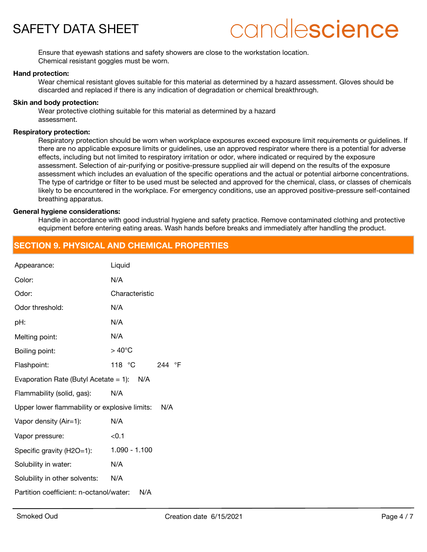

Ensure that eyewash stations and safety showers are close to the workstation location. Chemical resistant goggles must be worn.

#### **Hand protection:**

Wear chemical resistant gloves suitable for this material as determined by a hazard assessment. Gloves should be discarded and replaced if there is any indication of degradation or chemical breakthrough.

#### **Skin and body protection:**

Wear protective clothing suitable for this material as determined by a hazard assessment.

#### **Respiratory protection:**

Respiratory protection should be worn when workplace exposures exceed exposure limit requirements or guidelines. If there are no applicable exposure limits or guidelines, use an approved respirator where there is a potential for adverse effects, including but not limited to respiratory irritation or odor, where indicated or required by the exposure assessment. Selection of air-purifying or positive-pressure supplied air will depend on the results of the exposure assessment which includes an evaluation of the specific operations and the actual or potential airborne concentrations. The type of cartridge or filter to be used must be selected and approved for the chemical, class, or classes of chemicals likely to be encountered in the workplace. For emergency conditions, use an approved positive-pressure self-contained breathing apparatus.

#### **General hygiene considerations:**

Handle in accordance with good industrial hygiene and safety practice. Remove contaminated clothing and protective equipment before entering eating areas. Wash hands before breaks and immediately after handling the product.

## **SECTION 9. PHYSICAL AND CHEMICAL PROPERTIES**

| Appearance:                                       | Liquid           |
|---------------------------------------------------|------------------|
| Color:                                            | N/A              |
| Odor:                                             | Characteristic   |
| Odor threshold:                                   | N/A              |
| pH:                                               | N/A              |
| Melting point:                                    | N/A              |
| Boiling point:                                    | $>40^{\circ}$ C  |
| Flashpoint:                                       | 118 °C<br>244 °F |
| Evaporation Rate (Butyl Acetate = 1): $N/A$       |                  |
| Flammability (solid, gas):                        | N/A              |
| Upper lower flammability or explosive limits: N/A |                  |
| Vapor density (Air=1):                            | N/A              |
| Vapor pressure:                                   | < 0.1            |
| Specific gravity (H2O=1):                         | $1.090 - 1.100$  |
| Solubility in water:                              | N/A              |
| Solubility in other solvents:                     | N/A              |
| Partition coefficient: n-octanol/water:           | N/A              |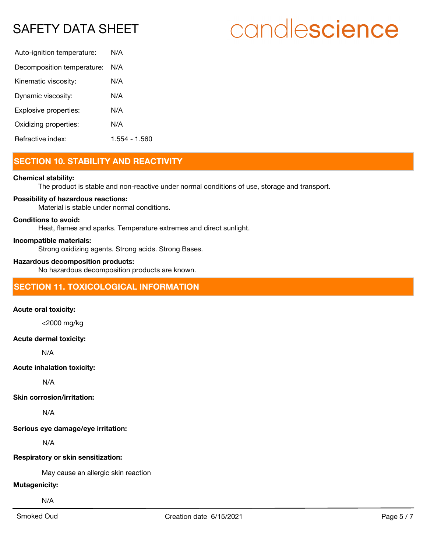# SAFETY DATA SHEET

| Auto-ignition temperature: | N/A           |
|----------------------------|---------------|
| Decomposition temperature: | N/A           |
| Kinematic viscosity:       | N/A           |
| Dynamic viscosity:         | N/A           |
| Explosive properties:      | N/A           |
| Oxidizing properties:      | N/A           |
| Refractive index:          | 1.554 - 1.560 |

# **SECTION 10. STABILITY AND REACTIVITY**

#### **Chemical stability:**

The product is stable and non-reactive under normal conditions of use, storage and transport.

#### **Possibility of hazardous reactions:**

Material is stable under normal conditions.

#### **Conditions to avoid:**

Heat, flames and sparks. Temperature extremes and direct sunlight.

#### **Incompatible materials:**

Strong oxidizing agents. Strong acids. Strong Bases.

#### **Hazardous decomposition products:**

No hazardous decomposition products are known.

## **SECTION 11. TOXICOLOGICAL INFORMATION**

#### **Acute oral toxicity:**

<2000 mg/kg

#### **Acute dermal toxicity:**

N/A

#### **Acute inhalation toxicity:**

N/A

#### **Skin corrosion/irritation:**

N/A

**Serious eye damage/eye irritation:**

N/A

#### **Respiratory or skin sensitization:**

May cause an allergic skin reaction

#### **Mutagenicity:**

N/A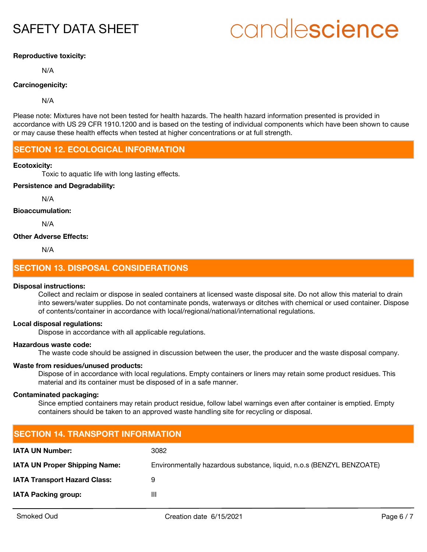# SAFETY DATA SHEET

# candlescience

#### **Reproductive toxicity:**

N/A

#### **Carcinogenicity:**

N/A

Please note: Mixtures have not been tested for health hazards. The health hazard information presented is provided in accordance with US 29 CFR 1910.1200 and is based on the testing of individual components which have been shown to cause or may cause these health effects when tested at higher concentrations or at full strength.

### **SECTION 12. ECOLOGICAL INFORMATION**

#### **Ecotoxicity:**

Toxic to aquatic life with long lasting effects.

#### **Persistence and Degradability:**

N/A

#### **Bioaccumulation:**

N/A

#### **Other Adverse Effects:**

N/A

## **SECTION 13. DISPOSAL CONSIDERATIONS**

#### **Disposal instructions:**

Collect and reclaim or dispose in sealed containers at licensed waste disposal site. Do not allow this material to drain into sewers/water supplies. Do not contaminate ponds, waterways or ditches with chemical or used container. Dispose of contents/container in accordance with local/regional/national/international regulations.

#### **Local disposal regulations:**

Dispose in accordance with all applicable regulations.

#### **Hazardous waste code:**

The waste code should be assigned in discussion between the user, the producer and the waste disposal company.

#### **Waste from residues/unused products:**

Dispose of in accordance with local regulations. Empty containers or liners may retain some product residues. This material and its container must be disposed of in a safe manner.

#### **Contaminated packaging:**

Since emptied containers may retain product residue, follow label warnings even after container is emptied. Empty containers should be taken to an approved waste handling site for recycling or disposal.

| <b>SECTION 14. TRANSPORT INFORMATION</b> |                                                                      |  |
|------------------------------------------|----------------------------------------------------------------------|--|
| <b>IATA UN Number:</b>                   | 3082                                                                 |  |
| <b>IATA UN Proper Shipping Name:</b>     | Environmentally hazardous substance, liquid, n.o.s (BENZYL BENZOATE) |  |
| <b>IATA Transport Hazard Class:</b>      | 9                                                                    |  |
| <b>IATA Packing group:</b>               | Ш                                                                    |  |
|                                          |                                                                      |  |